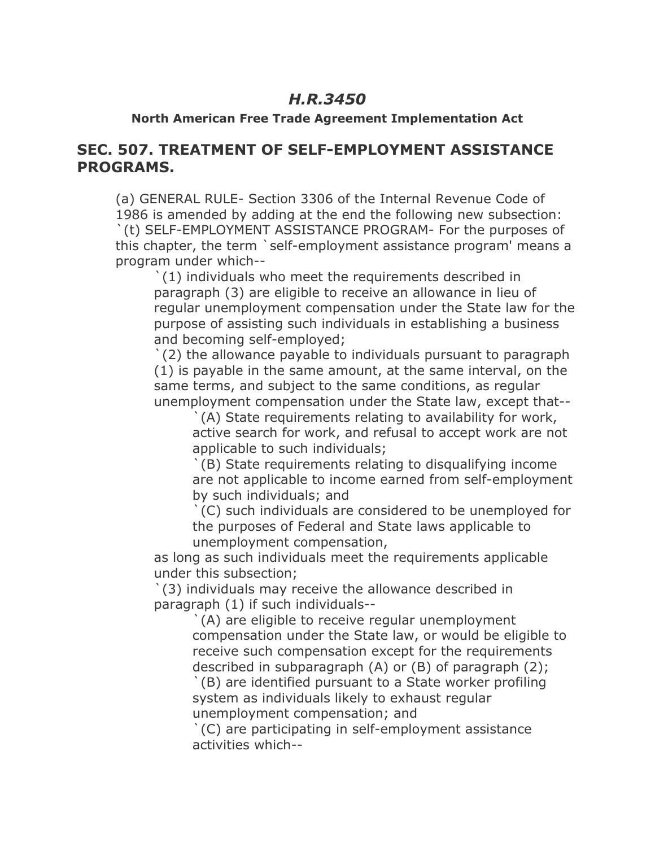## *H.R.3450*

### **North American Free Trade Agreement Implementation Act**

## **SEC. 507. TREATMENT OF SELF-EMPLOYMENT ASSISTANCE PROGRAMS.**

(a) GENERAL RULE- Section 3306 of the Internal Revenue Code of 1986 is amended by adding at the end the following new subsection: `(t) SELF-EMPLOYMENT ASSISTANCE PROGRAM- For the purposes of this chapter, the term `self-employment assistance program' means a program under which--

`(1) individuals who meet the requirements described in paragraph (3) are eligible to receive an allowance in lieu of regular unemployment compensation under the State law for the purpose of assisting such individuals in establishing a business and becoming self-employed;

`(2) the allowance payable to individuals pursuant to paragraph (1) is payable in the same amount, at the same interval, on the same terms, and subject to the same conditions, as regular unemployment compensation under the State law, except that--

`(A) State requirements relating to availability for work, active search for work, and refusal to accept work are not applicable to such individuals;

`(B) State requirements relating to disqualifying income are not applicable to income earned from self-employment by such individuals; and

`(C) such individuals are considered to be unemployed for the purposes of Federal and State laws applicable to unemployment compensation,

as long as such individuals meet the requirements applicable under this subsection;

`(3) individuals may receive the allowance described in paragraph (1) if such individuals--

`(A) are eligible to receive regular unemployment compensation under the State law, or would be eligible to receive such compensation except for the requirements described in subparagraph (A) or (B) of paragraph (2);

`(B) are identified pursuant to a State worker profiling system as individuals likely to exhaust regular unemployment compensation; and

`(C) are participating in self-employment assistance activities which--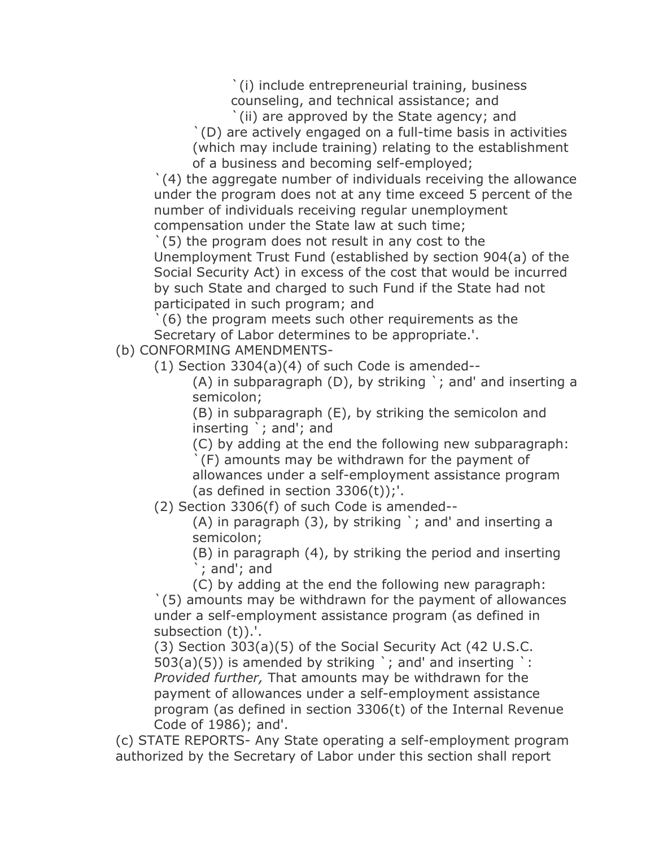`(i) include entrepreneurial training, business

counseling, and technical assistance; and

(ii) are approved by the State agency; and

`(D) are actively engaged on a full-time basis in activities (which may include training) relating to the establishment of a business and becoming self-employed;

`(4) the aggregate number of individuals receiving the allowance under the program does not at any time exceed 5 percent of the number of individuals receiving regular unemployment compensation under the State law at such time;

`(5) the program does not result in any cost to the Unemployment Trust Fund (established by section 904(a) of the Social Security Act) in excess of the cost that would be incurred by such State and charged to such Fund if the State had not participated in such program; and

`(6) the program meets such other requirements as the Secretary of Labor determines to be appropriate.'.

(b) CONFORMING AMENDMENTS-

(1) Section 3304(a)(4) of such Code is amended--

(A) in subparagraph  $(D)$ , by striking  $\cdot$ ; and and inserting a semicolon;

(B) in subparagraph (E), by striking the semicolon and inserting `; and'; and

(C) by adding at the end the following new subparagraph:

`(F) amounts may be withdrawn for the payment of allowances under a self-employment assistance program (as defined in section  $3306(t)$ );'.

(2) Section 3306(f) of such Code is amended--

(A) in paragraph  $(3)$ , by striking  $\cdot$ ; and and inserting a semicolon;

(B) in paragraph (4), by striking the period and inserting `; and'; and

(C) by adding at the end the following new paragraph:

`(5) amounts may be withdrawn for the payment of allowances under a self-employment assistance program (as defined in subsection (t)).'.

(3) Section 303(a)(5) of the Social Security Act (42 U.S.C.  $503(a)(5)$ ) is amended by striking `; and' and inserting `: *Provided further,* That amounts may be withdrawn for the payment of allowances under a self-employment assistance program (as defined in section 3306(t) of the Internal Revenue Code of 1986); and'.

(c) STATE REPORTS- Any State operating a self-employment program authorized by the Secretary of Labor under this section shall report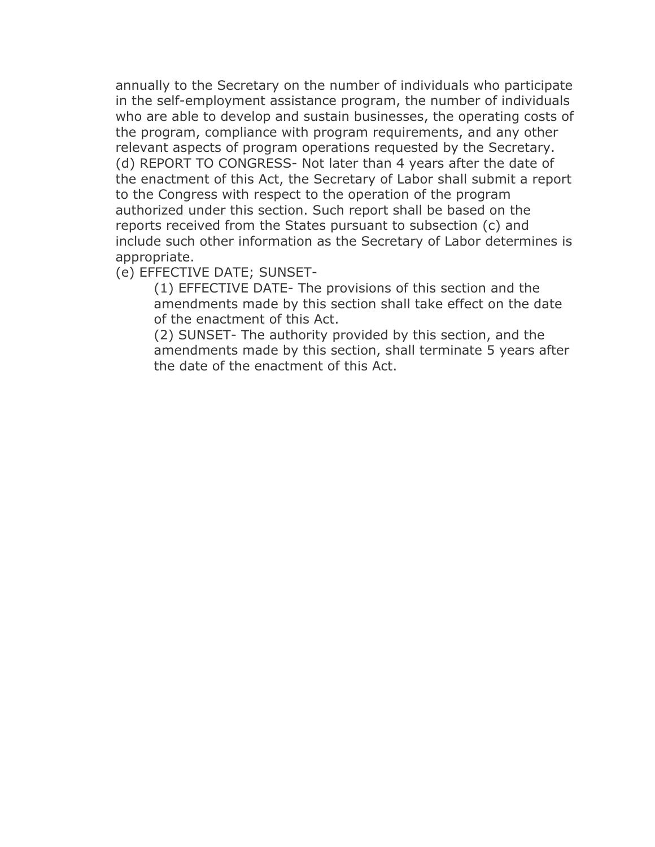annually to the Secretary on the number of individuals who participate in the self-employment assistance program, the number of individuals who are able to develop and sustain businesses, the operating costs of the program, compliance with program requirements, and any other relevant aspects of program operations requested by the Secretary. (d) REPORT TO CONGRESS- Not later than 4 years after the date of the enactment of this Act, the Secretary of Labor shall submit a report to the Congress with respect to the operation of the program authorized under this section. Such report shall be based on the reports received from the States pursuant to subsection (c) and include such other information as the Secretary of Labor determines is appropriate.

### (e) EFFECTIVE DATE; SUNSET-

(1) EFFECTIVE DATE- The provisions of this section and the amendments made by this section shall take effect on the date of the enactment of this Act.

(2) SUNSET- The authority provided by this section, and the amendments made by this section, shall terminate 5 years after the date of the enactment of this Act.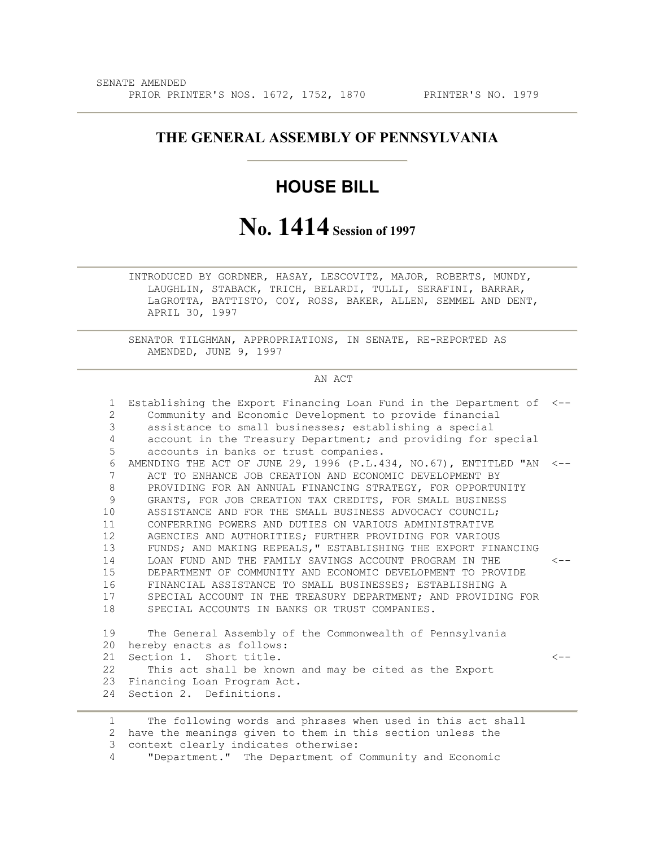### **THE GENERAL ASSEMBLY OF PENNSYLVANIA**

## **HOUSE BILL**

# **No. 1414 Session of 1997**

 INTRODUCED BY GORDNER, HASAY, LESCOVITZ, MAJOR, ROBERTS, MUNDY, LAUGHLIN, STABACK, TRICH, BELARDI, TULLI, SERAFINI, BARRAR, LaGROTTA, BATTISTO, COY, ROSS, BAKER, ALLEN, SEMMEL AND DENT, APRIL 30, 1997

 SENATOR TILGHMAN, APPROPRIATIONS, IN SENATE, RE-REPORTED AS AMENDED, JUNE 9, 1997

#### AN ACT

| 1               | Establishing the Export Financing Loan Fund in the Department of <--       |           |
|-----------------|----------------------------------------------------------------------------|-----------|
| $\overline{2}$  | Community and Economic Development to provide financial                    |           |
| 3               | assistance to small businesses; establishing a special                     |           |
| 4               | account in the Treasury Department; and providing for special              |           |
| 5               | accounts in banks or trust companies.                                      |           |
| 6               | AMENDING THE ACT OF JUNE 29, 1996 (P.L.434, NO.67), ENTITLED "AN $\leq$ -- |           |
| 7               | ACT TO ENHANCE JOB CREATION AND ECONOMIC DEVELOPMENT BY                    |           |
| 8               | PROVIDING FOR AN ANNUAL FINANCING STRATEGY, FOR OPPORTUNITY                |           |
| 9               | GRANTS, FOR JOB CREATION TAX CREDITS, FOR SMALL BUSINESS                   |           |
| 10              | ASSISTANCE AND FOR THE SMALL BUSINESS ADVOCACY COUNCIL;                    |           |
| 11              | CONFERRING POWERS AND DUTIES ON VARIOUS ADMINISTRATIVE                     |           |
| 12 <sup>°</sup> | AGENCIES AND AUTHORITIES; FURTHER PROVIDING FOR VARIOUS                    |           |
| 13              | FUNDS; AND MAKING REPEALS, " ESTABLISHING THE EXPORT FINANCING             |           |
| 14              | LOAN FUND AND THE FAMILY SAVINGS ACCOUNT PROGRAM IN THE                    | $\lt$ $-$ |
| 15              | DEPARTMENT OF COMMUNITY AND ECONOMIC DEVELOPMENT TO PROVIDE                |           |
| 16              | FINANCIAL ASSISTANCE TO SMALL BUSINESSES; ESTABLISHING A                   |           |
| 17              | SPECIAL ACCOUNT IN THE TREASURY DEPARTMENT; AND PROVIDING FOR              |           |
| 18              | SPECIAL ACCOUNTS IN BANKS OR TRUST COMPANIES.                              |           |
|                 |                                                                            |           |
| 19              | The General Assembly of the Commonwealth of Pennsylvania                   |           |
| 20              | hereby enacts as follows:                                                  |           |
| 21              | Section 1. Short title.                                                    | $\lt -$   |
| 22              | This act shall be known and may be cited as the Export                     |           |
| 23              | Financing Loan Program Act.                                                |           |
| 24              | Section 2. Definitions.                                                    |           |
|                 |                                                                            |           |
|                 |                                                                            |           |

 1 The following words and phrases when used in this act shall 2 have the meanings given to them in this section unless the 3 context clearly indicates otherwise:

4 "Department." The Department of Community and Economic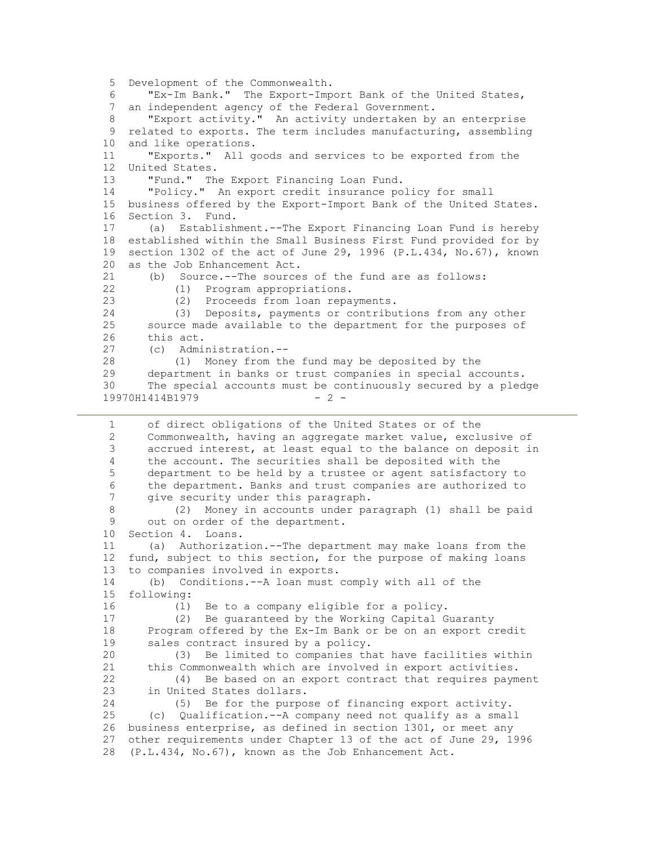5 Development of the Commonwealth. 6 "Ex-Im Bank." The Export-Import Bank of the United States, 7 an independent agency of the Federal Government. 8 "Export activity." An activity undertaken by an enterprise 9 related to exports. The term includes manufacturing, assembling 10 and like operations. 11 "Exports." All goods and services to be exported from the 12 United States. 13 "Fund." The Export Financing Loan Fund. 14 "Policy." An export credit insurance policy for small 15 business offered by the Export-Import Bank of the United States. 16 Section 3. Fund. 17 (a) Establishment.--The Export Financing Loan Fund is hereby 18 established within the Small Business First Fund provided for by 19 section 1302 of the act of June 29, 1996 (P.L.434, No.67), known 20 as the Job Enhancement Act. 21 (b) Source.--The sources of the fund are as follows: 22 (1) Program appropriations.<br>23 (2) Proceeds from loan repa (2) Proceeds from loan repayments. 24 (3) Deposits, payments or contributions from any other 25 source made available to the department for the purposes of 26 this act. 27 (c) Administration.-- 28 (1) Money from the fund may be deposited by the 29 department in banks or trust companies in special accounts. 30 The special accounts must be continuously secured by a pledge 19970H1414B1979 - 2 - 1 of direct obligations of the United States or of the 2 Commonwealth, having an aggregate market value, exclusive of 3 accrued interest, at least equal to the balance on deposit in 4 the account. The securities shall be deposited with the 5 department to be held by a trustee or agent satisfactory to 6 the department. Banks and trust companies are authorized to 7 give security under this paragraph. 8 (2) Money in accounts under paragraph (1) shall be paid 9 out on order of the department. 10 Section 4. Loans. 11 (a) Authorization.--The department may make loans from the 12 fund, subject to this section, for the purpose of making loans 13 to companies involved in exports. 14 (b) Conditions.--A loan must comply with all of the 15 following: 16 (1) Be to a company eligible for a policy. 17 (2) Be guaranteed by the Working Capital Guaranty 18 Program offered by the Ex-Im Bank or be on an export credit 19 sales contract insured by a policy. 20 (3) Be limited to companies that have facilities within 21 this Commonwealth which are involved in export activities. 22 (4) Be based on an export contract that requires payment 23 in United States dollars. 24 (5) Be for the purpose of financing export activity. 25 (c) Qualification.--A company need not qualify as a small 26 business enterprise, as defined in section 1301, or meet any 27 other requirements under Chapter 13 of the act of June 29, 1996 28 (P.L.434, No.67), known as the Job Enhancement Act.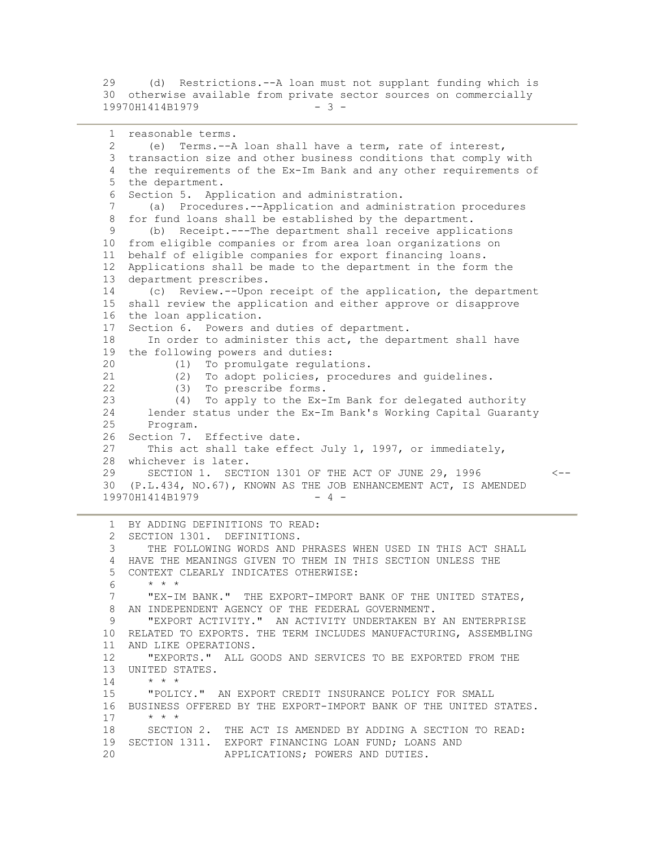29 (d) Restrictions.--A loan must not supplant funding which is 30 otherwise available from private sector sources on commercially 19970H1414B1979 - 3 -

```
 1 reasonable terms. 
  2 (e) Terms.--A loan shall have a term, rate of interest, 
  3 transaction size and other business conditions that comply with 
  4 the requirements of the Ex-Im Bank and any other requirements of 
  5 the department. 
 6 Section 5. Application and administration. 
 7 (a) Procedures.--Application and administration procedures 
 8 for fund loans shall be established by the department. 
 9 (b) Receipt.---The department shall receive applications 
 10 from eligible companies or from area loan organizations on 
 11 behalf of eligible companies for export financing loans. 
 12 Applications shall be made to the department in the form the 
 13 department prescribes. 
 14 (c) Review.--Upon receipt of the application, the department 
 15 shall review the application and either approve or disapprove 
 16 the loan application. 
 17 Section 6. Powers and duties of department. 
18 In order to administer this act, the department shall have
 19 the following powers and duties: 
 20 (1) To promulgate regulations. 
21 (2) To adopt policies, procedures and guidelines.<br>22 (3) To prescribe forms.
           (3) To prescribe forms.
 23 (4) To apply to the Ex-Im Bank for delegated authority 
 24 lender status under the Ex-Im Bank's Working Capital Guaranty 
      Program.
 26 Section 7. Effective date. 
 27 This act shall take effect July 1, 1997, or immediately, 
 28 whichever is later. 
 29 SECTION 1. SECTION 1301 OF THE ACT OF JUNE 29, 1996 <-- 
 30 (P.L.434, NO.67), KNOWN AS THE JOB ENHANCEMENT ACT, IS AMENDED 
19970H1414B1979 - 4 -
 1 BY ADDING DEFINITIONS TO READ: 
 2 SECTION 1301. DEFINITIONS. 
  3 THE FOLLOWING WORDS AND PHRASES WHEN USED IN THIS ACT SHALL
```
 4 HAVE THE MEANINGS GIVEN TO THEM IN THIS SECTION UNLESS THE 5 CONTEXT CLEARLY INDICATES OTHERWISE:  $6 \times * * *$  7 "EX-IM BANK." THE EXPORT-IMPORT BANK OF THE UNITED STATES, 8 AN INDEPENDENT AGENCY OF THE FEDERAL GOVERNMENT. 9 "EXPORT ACTIVITY." AN ACTIVITY UNDERTAKEN BY AN ENTERPRISE 10 RELATED TO EXPORTS. THE TERM INCLUDES MANUFACTURING, ASSEMBLING 11 AND LIKE OPERATIONS. 12 "EXPORTS." ALL GOODS AND SERVICES TO BE EXPORTED FROM THE 13 UNITED STATES. 14  $* * * *$  15 "POLICY." AN EXPORT CREDIT INSURANCE POLICY FOR SMALL 16 BUSINESS OFFERED BY THE EXPORT-IMPORT BANK OF THE UNITED STATES. 17 \* \* \* 18 SECTION 2. THE ACT IS AMENDED BY ADDING A SECTION TO READ: 19 SECTION 1311. EXPORT FINANCING LOAN FUND; LOANS AND 20 APPLICATIONS; POWERS AND DUTIES.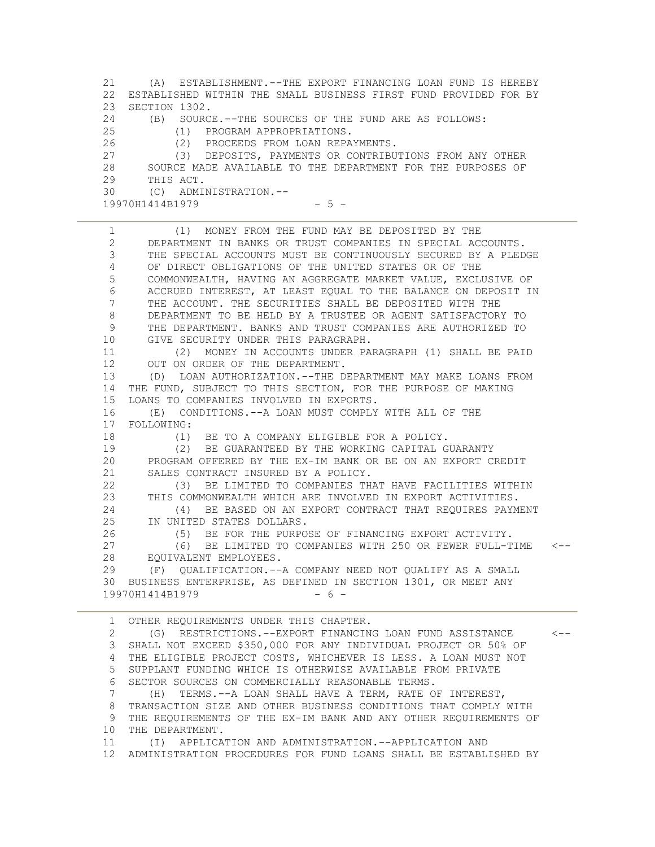21 (A) ESTABLISHMENT.--THE EXPORT FINANCING LOAN FUND IS HEREBY 22 ESTABLISHED WITHIN THE SMALL BUSINESS FIRST FUND PROVIDED FOR BY 23 SECTION 1302.<br>24 (B) SOURC (B) SOURCE.--THE SOURCES OF THE FUND ARE AS FOLLOWS: 25 (1) PROGRAM APPROPRIATIONS. 26 (2) PROCEEDS FROM LOAN REPAYMENTS. 27 (3) DEPOSITS, PAYMENTS OR CONTRIBUTIONS FROM ANY OTHER 28 SOURCE MADE AVAILABLE TO THE DEPARTMENT FOR THE PURPOSES OF 29 THIS ACT. 30 (C) ADMINISTRATION.--  $19970H1414B1979$  - 5 -

 1 (1) MONEY FROM THE FUND MAY BE DEPOSITED BY THE 2 DEPARTMENT IN BANKS OR TRUST COMPANIES IN SPECIAL ACCOUNTS. 3 THE SPECIAL ACCOUNTS MUST BE CONTINUOUSLY SECURED BY A PLEDGE 4 OF DIRECT OBLIGATIONS OF THE UNITED STATES OR OF THE 5 COMMONWEALTH, HAVING AN AGGREGATE MARKET VALUE, EXCLUSIVE OF 6 ACCRUED INTEREST, AT LEAST EQUAL TO THE BALANCE ON DEPOSIT IN 7 THE ACCOUNT. THE SECURITIES SHALL BE DEPOSITED WITH THE 8 DEPARTMENT TO BE HELD BY A TRUSTEE OR AGENT SATISFACTORY TO 9 THE DEPARTMENT. BANKS AND TRUST COMPANIES ARE AUTHORIZED TO 10 GIVE SECURITY UNDER THIS PARAGRAPH. 11 (2) MONEY IN ACCOUNTS UNDER PARAGRAPH (1) SHALL BE PAID 12 OUT ON ORDER OF THE DEPARTMENT. 13 (D) LOAN AUTHORIZATION.--THE DEPARTMENT MAY MAKE LOANS FROM 14 THE FUND, SUBJECT TO THIS SECTION, FOR THE PURPOSE OF MAKING 15 LOANS TO COMPANIES INVOLVED IN EXPORTS. 16 (E) CONDITIONS.--A LOAN MUST COMPLY WITH ALL OF THE 17 FOLLOWING: 18 (1) BE TO A COMPANY ELIGIBLE FOR A POLICY. 19 (2) BE GUARANTEED BY THE WORKING CAPITAL GUARANTY 20 PROGRAM OFFERED BY THE EX-IM BANK OR BE ON AN EXPORT CREDIT 21 SALES CONTRACT INSURED BY A POLICY. 22 (3) BE LIMITED TO COMPANIES THAT HAVE FACILITIES WITHIN 23 THIS COMMONWEALTH WHICH ARE INVOLVED IN EXPORT ACTIVITIES. 24 (4) BE BASED ON AN EXPORT CONTRACT THAT REQUIRES PAYMENT 25 IN UNITED STATES DOLLARS. 26 (5) BE FOR THE PURPOSE OF FINANCING EXPORT ACTIVITY.<br>27 (6) BE LIMITED TO COMPANIES WITH 250 OR FEWER FULL-T 27 (6) BE LIMITED TO COMPANIES WITH 250 OR FEWER FULL-TIME <-- 28 EQUIVALENT EMPLOYEES. 29 (F) QUALIFICATION.--A COMPANY NEED NOT QUALIFY AS A SMALL 30 BUSINESS ENTERPRISE, AS DEFINED IN SECTION 1301, OR MEET ANY 19970H1414B1979 - 6 -

1 OTHER REQUIREMENTS UNDER THIS CHAPTER.<br>2 (G) RESTRICTIONS.--EXPORT FINANCIN 2 (G) RESTRICTIONS.--EXPORT FINANCING LOAN FUND ASSISTANCE <-- 3 SHALL NOT EXCEED \$350,000 FOR ANY INDIVIDUAL PROJECT OR 50% OF 4 THE ELIGIBLE PROJECT COSTS, WHICHEVER IS LESS. A LOAN MUST NOT 5 SUPPLANT FUNDING WHICH IS OTHERWISE AVAILABLE FROM PRIVATE 6 SECTOR SOURCES ON COMMERCIALLY REASONABLE TERMS. 7 (H) TERMS.--A LOAN SHALL HAVE A TERM, RATE OF INTEREST, 8 TRANSACTION SIZE AND OTHER BUSINESS CONDITIONS THAT COMPLY WITH 9 THE REQUIREMENTS OF THE EX-IM BANK AND ANY OTHER REQUIREMENTS OF 10 THE DEPARTMENT. 11 (I) APPLICATION AND ADMINISTRATION.--APPLICATION AND 12 ADMINISTRATION PROCEDURES FOR FUND LOANS SHALL BE ESTABLISHED BY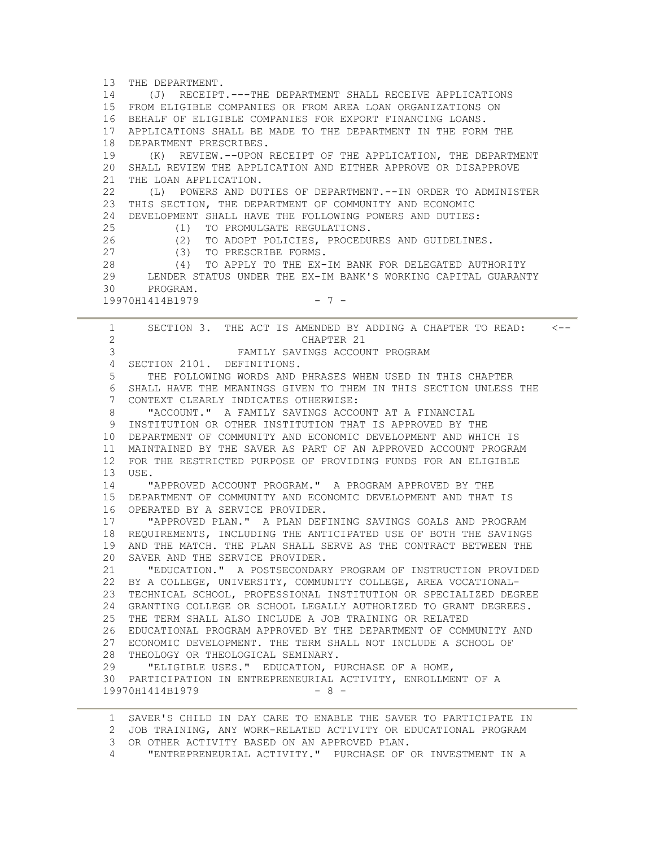13 THE DEPARTMENT. 14 (J) RECEIPT.---THE DEPARTMENT SHALL RECEIVE APPLICATIONS 15 FROM ELIGIBLE COMPANIES OR FROM AREA LOAN ORGANIZATIONS ON 16 BEHALF OF ELIGIBLE COMPANIES FOR EXPORT FINANCING LOANS. 17 APPLICATIONS SHALL BE MADE TO THE DEPARTMENT IN THE FORM THE 18 DEPARTMENT PRESCRIBES. 19 (K) REVIEW.--UPON RECEIPT OF THE APPLICATION, THE DEPARTMENT 20 SHALL REVIEW THE APPLICATION AND EITHER APPROVE OR DISAPPROVE 21 THE LOAN APPLICATION. 22 (L) POWERS AND DUTIES OF DEPARTMENT.--IN ORDER TO ADMINISTER 23 THIS SECTION, THE DEPARTMENT OF COMMUNITY AND ECONOMIC 24 DEVELOPMENT SHALL HAVE THE FOLLOWING POWERS AND DUTIES: 25 (1) TO PROMULGATE REGULATIONS. 26 (2) TO ADOPT POLICIES, PROCEDURES AND GUIDELINES. 27 (3) TO PRESCRIBE FORMS. 28 (4) TO APPLY TO THE EX-IM BANK FOR DELEGATED AUTHORITY 29 LENDER STATUS UNDER THE EX-IM BANK'S WORKING CAPITAL GUARANTY 30 PROGRAM. 19970H1414B1979 - 7 - 1 SECTION 3. THE ACT IS AMENDED BY ADDING A CHAPTER TO READ: <-- 2 CHAPTER 21 3 FAMILY SAVINGS ACCOUNT PROGRAM 4 SECTION 2101. DEFINITIONS. 5 THE FOLLOWING WORDS AND PHRASES WHEN USED IN THIS CHAPTER 6 SHALL HAVE THE MEANINGS GIVEN TO THEM IN THIS SECTION UNLESS THE 7 CONTEXT CLEARLY INDICATES OTHERWISE: 8 "ACCOUNT." A FAMILY SAVINGS ACCOUNT AT A FINANCIAL

 9 INSTITUTION OR OTHER INSTITUTION THAT IS APPROVED BY THE 10 DEPARTMENT OF COMMUNITY AND ECONOMIC DEVELOPMENT AND WHICH IS 11 MAINTAINED BY THE SAVER AS PART OF AN APPROVED ACCOUNT PROGRAM 12 FOR THE RESTRICTED PURPOSE OF PROVIDING FUNDS FOR AN ELIGIBLE 13 USE. 14 "APPROVED ACCOUNT PROGRAM." A PROGRAM APPROVED BY THE

 15 DEPARTMENT OF COMMUNITY AND ECONOMIC DEVELOPMENT AND THAT IS 16 OPERATED BY A SERVICE PROVIDER.

 17 "APPROVED PLAN." A PLAN DEFINING SAVINGS GOALS AND PROGRAM 18 REQUIREMENTS, INCLUDING THE ANTICIPATED USE OF BOTH THE SAVINGS 19 AND THE MATCH. THE PLAN SHALL SERVE AS THE CONTRACT BETWEEN THE 20 SAVER AND THE SERVICE PROVIDER.

 21 "EDUCATION." A POSTSECONDARY PROGRAM OF INSTRUCTION PROVIDED 22 BY A COLLEGE, UNIVERSITY, COMMUNITY COLLEGE, AREA VOCATIONAL- 23 TECHNICAL SCHOOL, PROFESSIONAL INSTITUTION OR SPECIALIZED DEGREE 24 GRANTING COLLEGE OR SCHOOL LEGALLY AUTHORIZED TO GRANT DEGREES. 25 THE TERM SHALL ALSO INCLUDE A JOB TRAINING OR RELATED 26 EDUCATIONAL PROGRAM APPROVED BY THE DEPARTMENT OF COMMUNITY AND 27 ECONOMIC DEVELOPMENT. THE TERM SHALL NOT INCLUDE A SCHOOL OF 28 THEOLOGY OR THEOLOGICAL SEMINARY. 29 "ELIGIBLE USES." EDUCATION, PURCHASE OF A HOME, 30 PARTICIPATION IN ENTREPRENEURIAL ACTIVITY, ENROLLMENT OF A

1 SAVER'S CHILD IN DAY CARE TO ENABLE THE SAVER TO PARTICIPATE IN

2 JOB TRAINING, ANY WORK-RELATED ACTIVITY OR EDUCATIONAL PROGRAM

3 OR OTHER ACTIVITY BASED ON AN APPROVED PLAN.

19970H1414B1979 - 8 -

4 "ENTREPRENEURIAL ACTIVITY." PURCHASE OF OR INVESTMENT IN A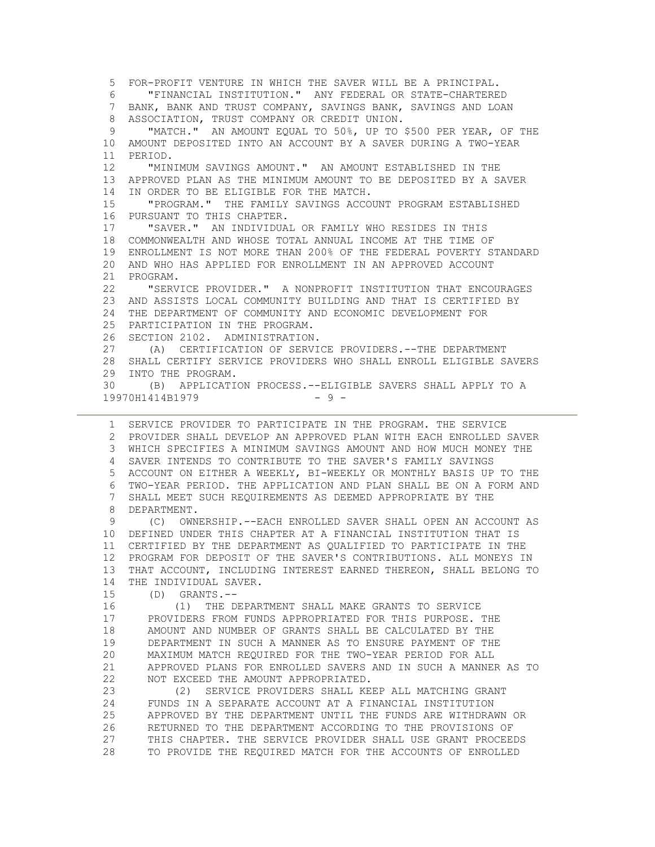5 FOR-PROFIT VENTURE IN WHICH THE SAVER WILL BE A PRINCIPAL. 6 "FINANCIAL INSTITUTION." ANY FEDERAL OR STATE-CHARTERED 7 BANK, BANK AND TRUST COMPANY, SAVINGS BANK, SAVINGS AND LOAN 8 ASSOCIATION, TRUST COMPANY OR CREDIT UNION. 9 "MATCH." AN AMOUNT EQUAL TO 50%, UP TO \$500 PER YEAR, OF THE 10 AMOUNT DEPOSITED INTO AN ACCOUNT BY A SAVER DURING A TWO-YEAR 11 PERIOD. 12 "MINIMUM SAVINGS AMOUNT." AN AMOUNT ESTABLISHED IN THE 13 APPROVED PLAN AS THE MINIMUM AMOUNT TO BE DEPOSITED BY A SAVER 14 IN ORDER TO BE ELIGIBLE FOR THE MATCH. 15 "PROGRAM." THE FAMILY SAVINGS ACCOUNT PROGRAM ESTABLISHED 16 PURSUANT TO THIS CHAPTER. 17 "SAVER." AN INDIVIDUAL OR FAMILY WHO RESIDES IN THIS 18 COMMONWEALTH AND WHOSE TOTAL ANNUAL INCOME AT THE TIME OF 19 ENROLLMENT IS NOT MORE THAN 200% OF THE FEDERAL POVERTY STANDARD 20 AND WHO HAS APPLIED FOR ENROLLMENT IN AN APPROVED ACCOUNT 21 PROGRAM. 22 "SERVICE PROVIDER." A NONPROFIT INSTITUTION THAT ENCOURAGES 23 AND ASSISTS LOCAL COMMUNITY BUILDING AND THAT IS CERTIFIED BY 24 THE DEPARTMENT OF COMMUNITY AND ECONOMIC DEVELOPMENT FOR 25 PARTICIPATION IN THE PROGRAM. 26 SECTION 2102. ADMINISTRATION. 27 (A) CERTIFICATION OF SERVICE PROVIDERS.--THE DEPARTMENT 28 SHALL CERTIFY SERVICE PROVIDERS WHO SHALL ENROLL ELIGIBLE SAVERS 29 INTO THE PROGRAM. 30 (B) APPLICATION PROCESS.--ELIGIBLE SAVERS SHALL APPLY TO A 19970H1414B1979 - 9 -

 1 SERVICE PROVIDER TO PARTICIPATE IN THE PROGRAM. THE SERVICE 2 PROVIDER SHALL DEVELOP AN APPROVED PLAN WITH EACH ENROLLED SAVER 3 WHICH SPECIFIES A MINIMUM SAVINGS AMOUNT AND HOW MUCH MONEY THE 4 SAVER INTENDS TO CONTRIBUTE TO THE SAVER'S FAMILY SAVINGS 5 ACCOUNT ON EITHER A WEEKLY, BI-WEEKLY OR MONTHLY BASIS UP TO THE 6 TWO-YEAR PERIOD. THE APPLICATION AND PLAN SHALL BE ON A FORM AND 7 SHALL MEET SUCH REQUIREMENTS AS DEEMED APPROPRIATE BY THE 8 DEPARTMENT.

 9 (C) OWNERSHIP.--EACH ENROLLED SAVER SHALL OPEN AN ACCOUNT AS 10 DEFINED UNDER THIS CHAPTER AT A FINANCIAL INSTITUTION THAT IS 11 CERTIFIED BY THE DEPARTMENT AS QUALIFIED TO PARTICIPATE IN THE 12 PROGRAM FOR DEPOSIT OF THE SAVER'S CONTRIBUTIONS. ALL MONEYS IN 13 THAT ACCOUNT, INCLUDING INTEREST EARNED THEREON, SHALL BELONG TO 14 THE INDIVIDUAL SAVER.

15 (D) GRANTS.--

 16 (1) THE DEPARTMENT SHALL MAKE GRANTS TO SERVICE 17 PROVIDERS FROM FUNDS APPROPRIATED FOR THIS PURPOSE. THE 18 AMOUNT AND NUMBER OF GRANTS SHALL BE CALCULATED BY THE 19 DEPARTMENT IN SUCH A MANNER AS TO ENSURE PAYMENT OF THE 20 MAXIMUM MATCH REQUIRED FOR THE TWO-YEAR PERIOD FOR ALL 21 APPROVED PLANS FOR ENROLLED SAVERS AND IN SUCH A MANNER AS TO 22 NOT EXCEED THE AMOUNT APPROPRIATED.

 23 (2) SERVICE PROVIDERS SHALL KEEP ALL MATCHING GRANT 24 FUNDS IN A SEPARATE ACCOUNT AT A FINANCIAL INSTITUTION 25 APPROVED BY THE DEPARTMENT UNTIL THE FUNDS ARE WITHDRAWN OR 26 RETURNED TO THE DEPARTMENT ACCORDING TO THE PROVISIONS OF 27 THIS CHAPTER. THE SERVICE PROVIDER SHALL USE GRANT PROCEEDS 28 TO PROVIDE THE REQUIRED MATCH FOR THE ACCOUNTS OF ENROLLED